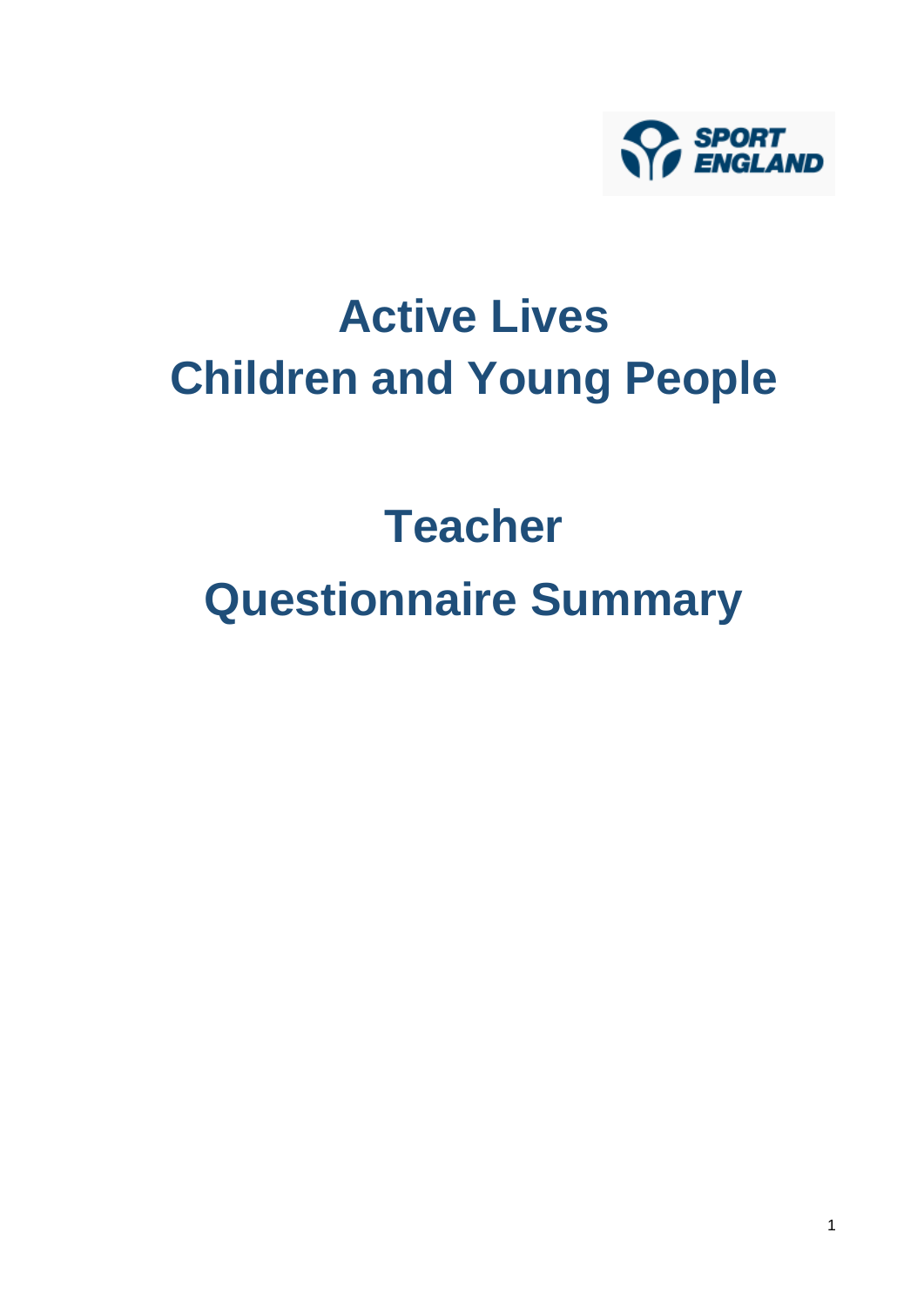

# **Active Lives Children and Young People**

# **Teacher Questionnaire Summary**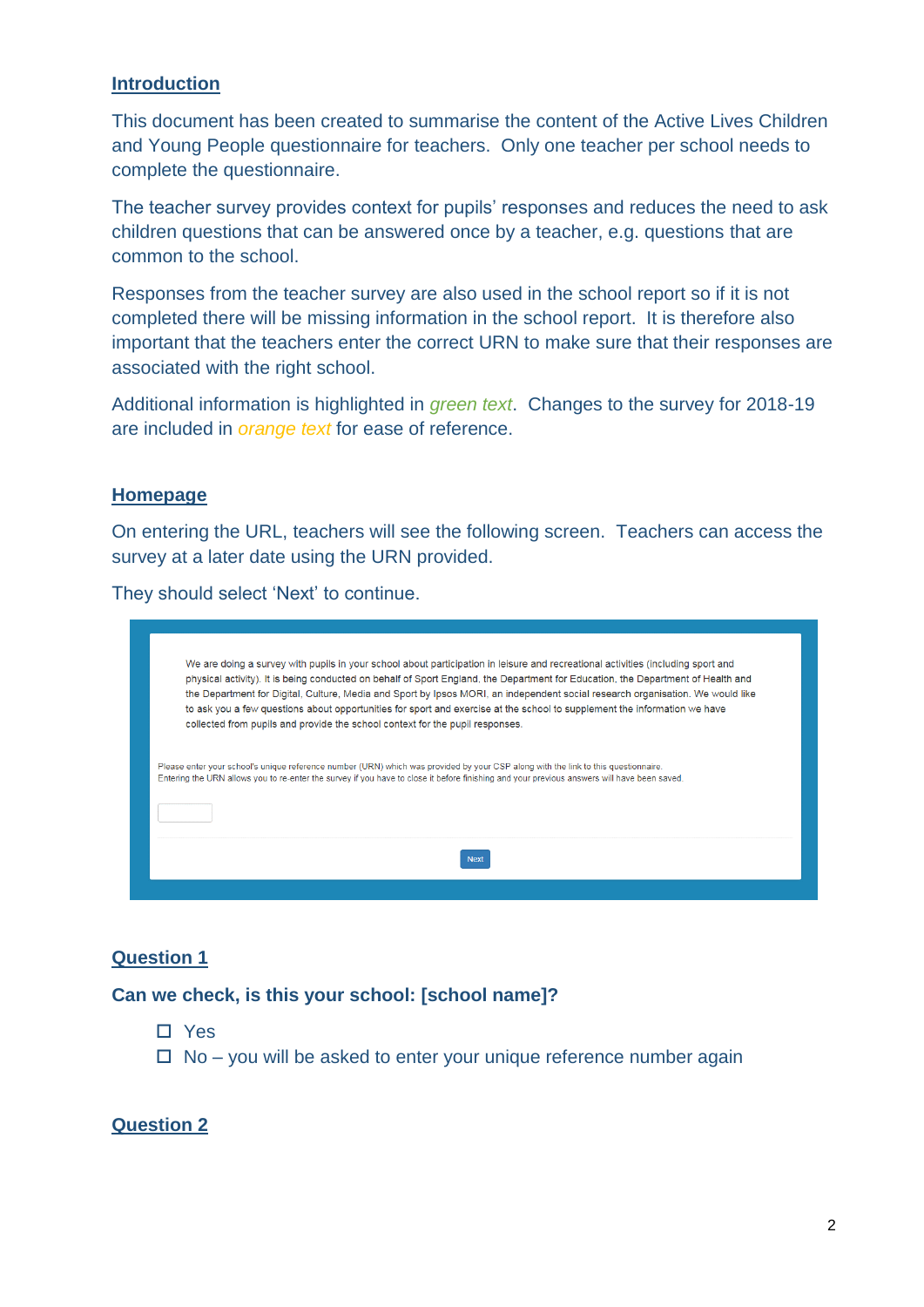#### **Introduction**

This document has been created to summarise the content of the Active Lives Children and Young People questionnaire for teachers. Only one teacher per school needs to complete the questionnaire.

The teacher survey provides context for pupils' responses and reduces the need to ask children questions that can be answered once by a teacher, e.g. questions that are common to the school.

Responses from the teacher survey are also used in the school report so if it is not completed there will be missing information in the school report. It is therefore also important that the teachers enter the correct URN to make sure that their responses are associated with the right school.

Additional information is highlighted in *green text*. Changes to the survey for 2018-19 are included in *orange text* for ease of reference.

# **Homepage**

On entering the URL, teachers will see the following screen. Teachers can access the survey at a later date using the URN provided.

They should select 'Next' to continue.



# **Question 1**

# **Can we check, is this your school: [school name]?**

- Yes
- $\Box$  No you will be asked to enter your unique reference number again

# **Question 2**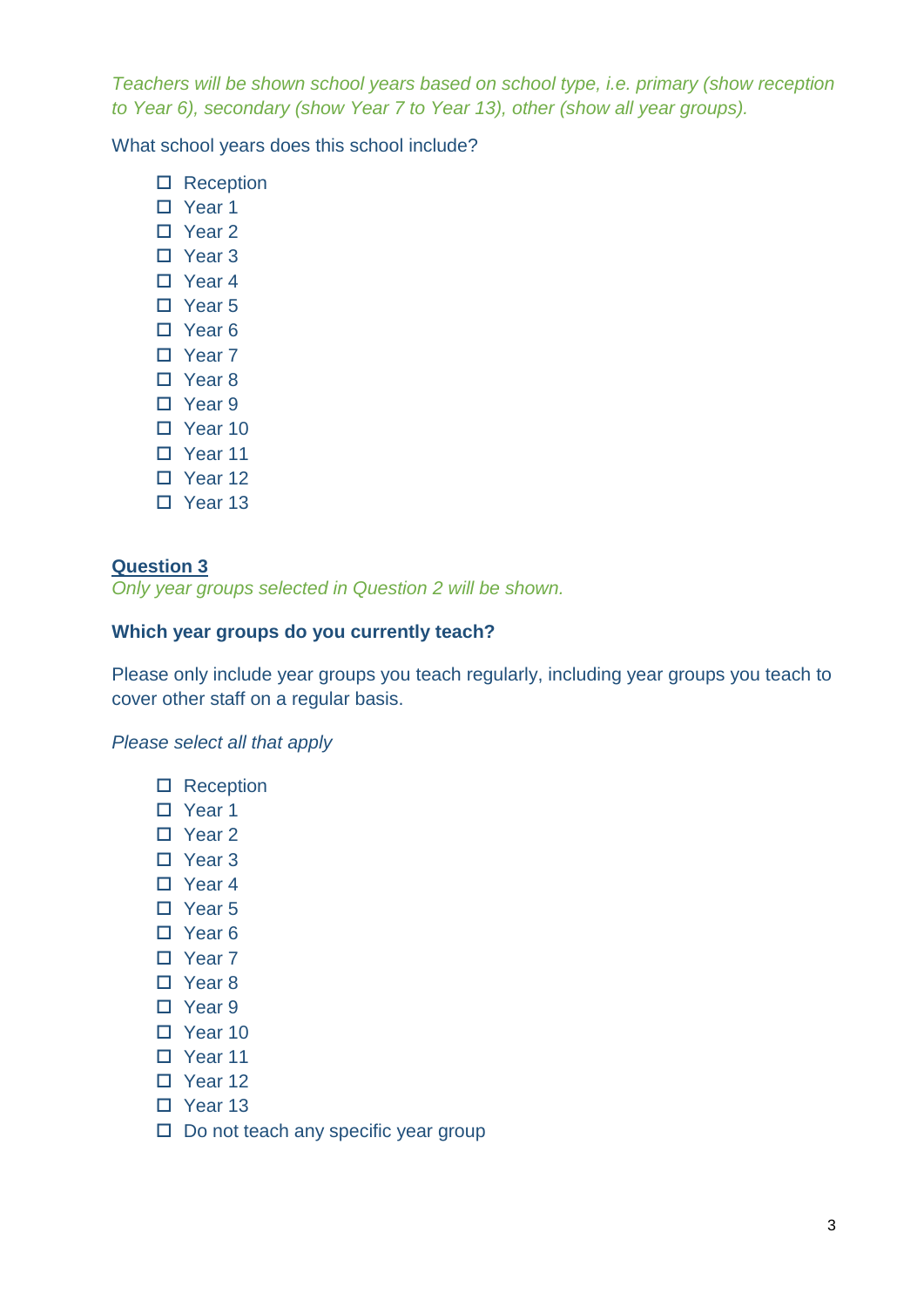*Teachers will be shown school years based on school type, i.e. primary (show reception to Year 6), secondary (show Year 7 to Year 13), other (show all year groups).*

What school years does this school include?

- □ Reception
- □ Year 1
- □ Year 2
- □ Year 3
- □ Year 4
- Year 5
- □ Year 6
- □ Year 7
- □ Year 8
- □ Year 9
- D Year 10
- D Year 11
- □ Year 12
- □ Year 13

# **Question 3**

*Only year groups selected in Question 2 will be shown.*

# **Which year groups do you currently teach?**

Please only include year groups you teach regularly, including year groups you teach to cover other staff on a regular basis.

#### *Please select all that apply*

- □ Reception
- □ Year 1
- □ Year 2
- □ Year 3
- □ Year 4
- □ Year 5
- □ Year 6
- □ Year 7
- □ Year 8
- □ Year 9
- □ Year 10
- □ Year 11
- D Year 12
- □ Year 13
- $\square$  Do not teach any specific year group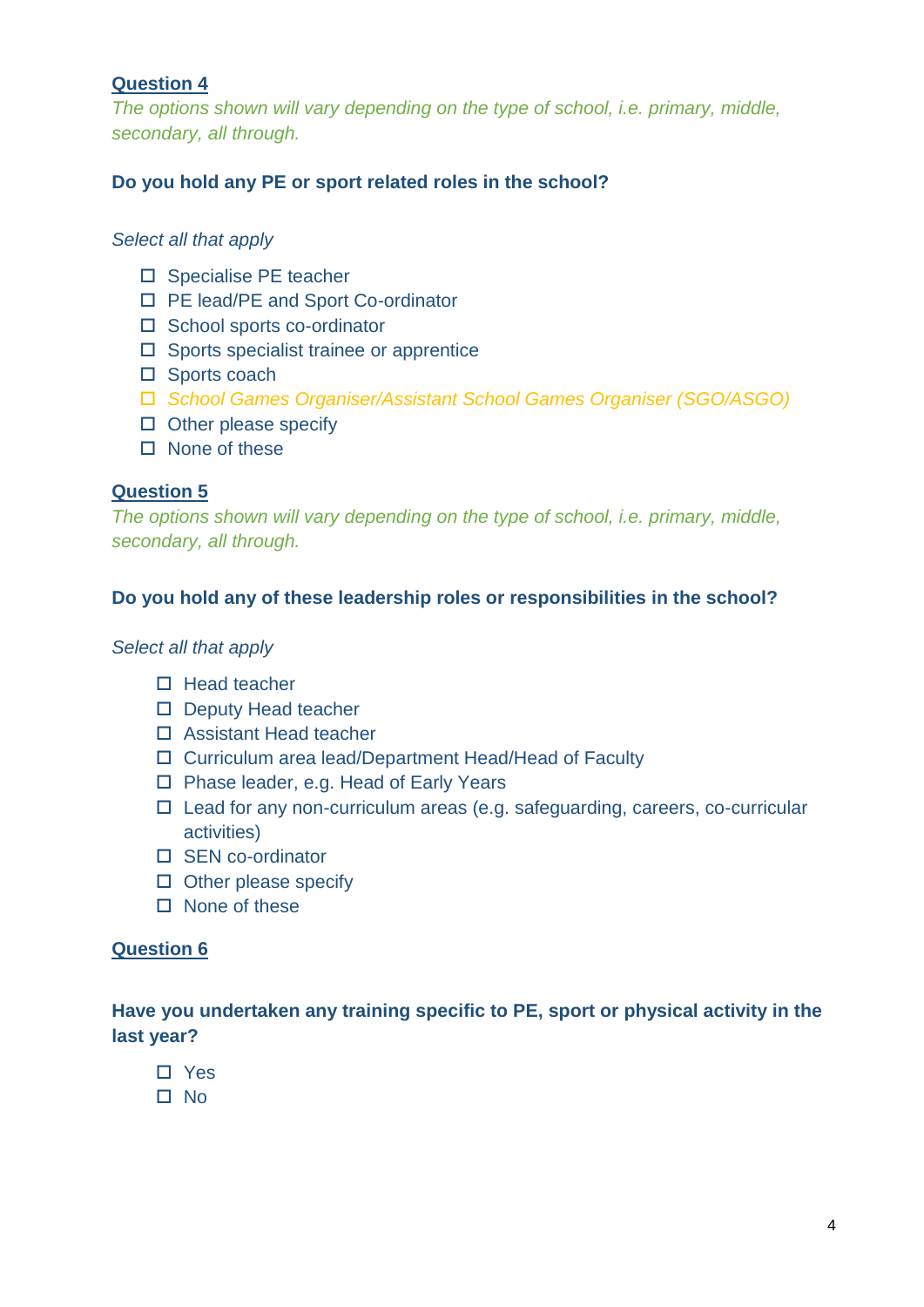*The options shown will vary depending on the type of school, i.e. primary, middle, secondary, all through.*

# **Do you hold any PE or sport related roles in the school?**

# *Select all that apply*

- □ Specialise PE teacher
- □ PE lead/PE and Sport Co-ordinator
- □ School sports co-ordinator
- $\square$  Sports specialist trainee or apprentice
- □ Sports coach
- *School Games Organiser/Assistant School Games Organiser (SGO/ASGO)*
- $\Box$  Other please specify
- $\Box$  None of these

# **Question 5**

*The options shown will vary depending on the type of school, i.e. primary, middle, secondary, all through.*

# **Do you hold any of these leadership roles or responsibilities in the school?**

#### *Select all that apply*

- $\Box$  Head teacher
- D Deputy Head teacher
- □ Assistant Head teacher
- □ Curriculum area lead/Department Head/Head of Faculty
- □ Phase leader, e.g. Head of Early Years
- $\Box$  Lead for any non-curriculum areas (e.g. safeguarding, careers, co-curricular activities)
- □ SEN co-ordinator
- $\square$  Other please specify
- $\square$  None of these

# **Question 6**

**Have you undertaken any training specific to PE, sport or physical activity in the last year?** 

- □ Yes
- $\square$  No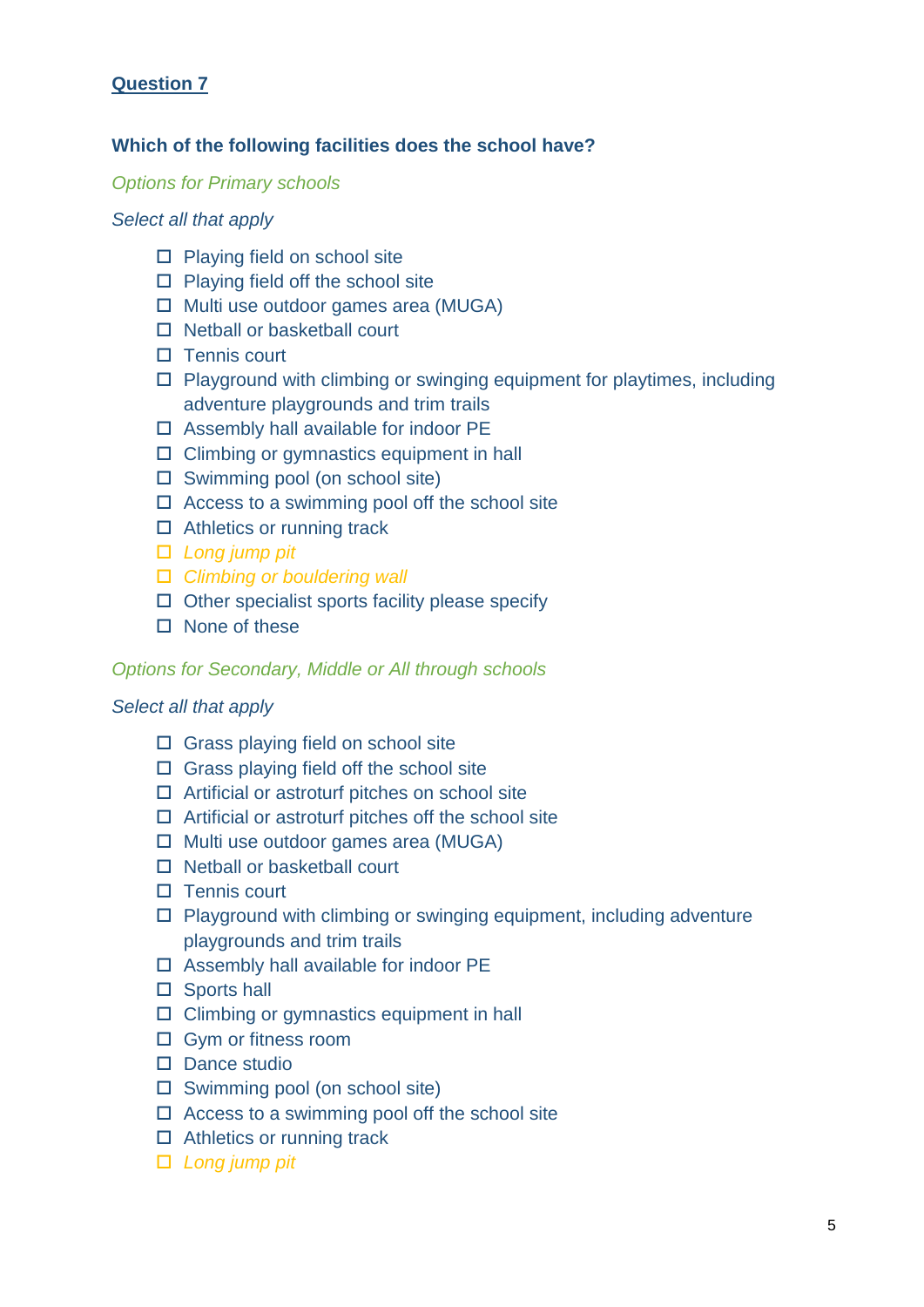# **Which of the following facilities does the school have?**

#### *Options for Primary schools*

#### *Select all that apply*

- $\square$  Playing field on school site
- $\Box$  Playing field off the school site
- $\Box$  Multi use outdoor games area (MUGA)
- $\Box$  Netball or basketball court
- $\Box$  Tennis court
- $\square$  Playground with climbing or swinging equipment for playtimes, including adventure playgrounds and trim trails
- $\Box$  Assembly hall available for indoor PE
- $\square$  Climbing or gymnastics equipment in hall
- $\square$  Swimming pool (on school site)
- $\Box$  Access to a swimming pool off the school site
- □ Athletics or running track
- *Long jump pit*
- *Climbing or bouldering wall*
- $\Box$  Other specialist sports facility please specify
- $\square$  None of these

#### *Options for Secondary, Middle or All through schools*

#### *Select all that apply*

- $\Box$  Grass playing field on school site
- $\Box$  Grass playing field off the school site
- $\Box$  Artificial or astroturf pitches on school site
- $\Box$  Artificial or astroturf pitches off the school site
- $\Box$  Multi use outdoor games area (MUGA)
- □ Netball or basketball court
- $\Box$  Tennis court
- $\Box$  Playground with climbing or swinging equipment, including adventure playgrounds and trim trails
- $\Box$  Assembly hall available for indoor PE
- □ Sports hall
- $\Box$  Climbing or gymnastics equipment in hall
- □ Gym or fitness room
- $\square$  Dance studio
- $\square$  Swimming pool (on school site)
- $\Box$  Access to a swimming pool off the school site
- □ Athletics or running track
- *Long jump pit*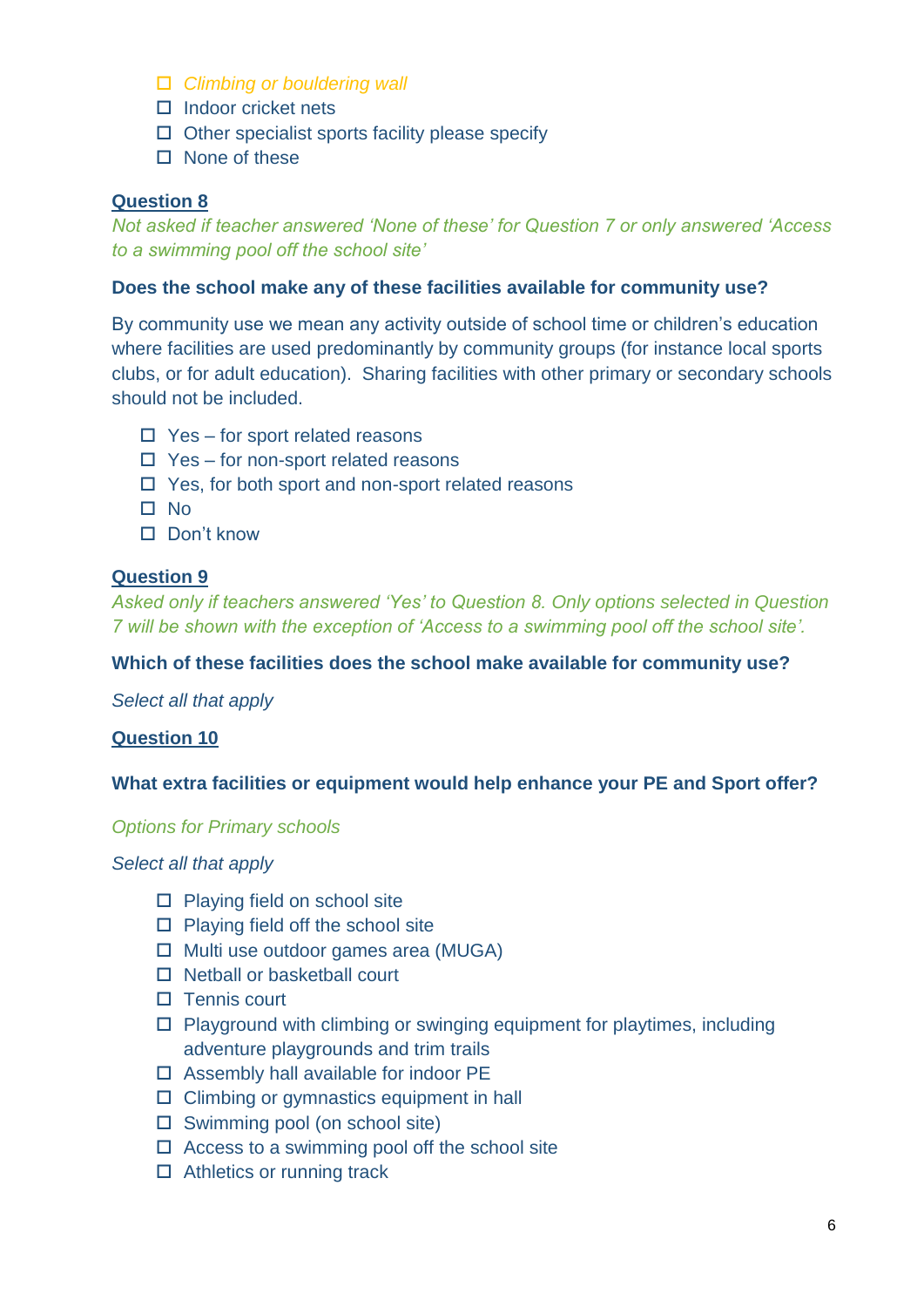- *Climbing or bouldering wall*
- $\Box$  Indoor cricket nets
- $\Box$  Other specialist sports facility please specify
- $\Box$  None of these

*Not asked if teacher answered 'None of these' for Question 7 or only answered 'Access to a swimming pool off the school site'*

#### **Does the school make any of these facilities available for community use?**

By community use we mean any activity outside of school time or children's education where facilities are used predominantly by community groups (for instance local sports clubs, or for adult education). Sharing facilities with other primary or secondary schools should not be included.

- $\Box$  Yes for sport related reasons
- $\Box$  Yes for non-sport related reasons
- $\Box$  Yes, for both sport and non-sport related reasons
- $\square$  No
- $\Pi$  Don't know

# **Question 9**

*Asked only if teachers answered 'Yes' to Question 8. Only options selected in Question 7 will be shown with the exception of 'Access to a swimming pool off the school site'.*

#### **Which of these facilities does the school make available for community use?**

*Select all that apply*

#### **Question 10**

#### **What extra facilities or equipment would help enhance your PE and Sport offer?**

#### *Options for Primary schools*

#### *Select all that apply*

- $\Box$  Playing field on school site
- $\Box$  Playing field off the school site
- $\Box$  Multi use outdoor games area (MUGA)
- □ Netball or basketball court
- $\Box$  Tennis court
- $\Box$  Playground with climbing or swinging equipment for playtimes, including adventure playgrounds and trim trails
- $\Box$  Assembly hall available for indoor PE
- $\Box$  Climbing or gymnastics equipment in hall
- $\square$  Swimming pool (on school site)
- $\Box$  Access to a swimming pool off the school site
- $\Box$  Athletics or running track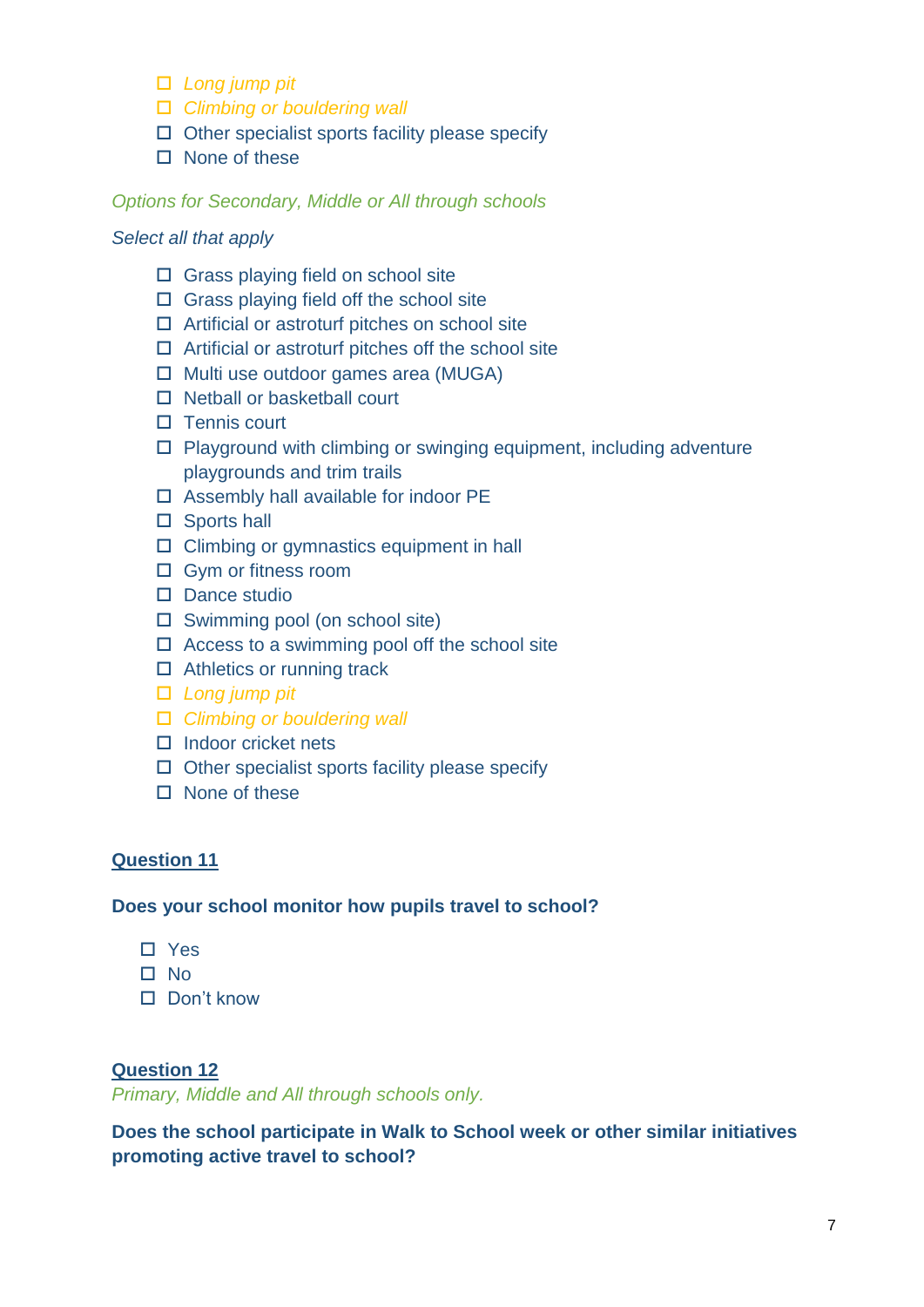- *Long jump pit*
- *Climbing or bouldering wall*
- $\Box$  Other specialist sports facility please specify
- $\Box$  None of these

#### *Options for Secondary, Middle or All through schools*

#### *Select all that apply*

- $\Box$  Grass playing field on school site
- $\Box$  Grass playing field off the school site
- $\Box$  Artificial or astroturf pitches on school site
- $\Box$  Artificial or astroturf pitches off the school site
- $\Box$  Multi use outdoor games area (MUGA)
- $\Box$  Netball or basketball court
- $\Pi$  Tennis court
- $\Box$  Playground with climbing or swinging equipment, including adventure playgrounds and trim trails
- $\square$  Assembly hall available for indoor PE
- □ Sports hall
- $\Box$  Climbing or gymnastics equipment in hall
- □ Gym or fitness room
- $\square$  Dance studio
- $\square$  Swimming pool (on school site)
- $\Box$  Access to a swimming pool off the school site
- □ Athletics or running track
- *Long jump pit*
- *Climbing or bouldering wall*
- $\Box$  Indoor cricket nets
- $\Box$  Other specialist sports facility please specify
- $\Box$  None of these

# **Question 11**

**Does your school monitor how pupils travel to school?** 

- □ Yes
- $\square$  No
- $\Pi$  Don't know

#### **Question 12**

*Primary, Middle and All through schools only.* 

**Does the school participate in Walk to School week or other similar initiatives promoting active travel to school?**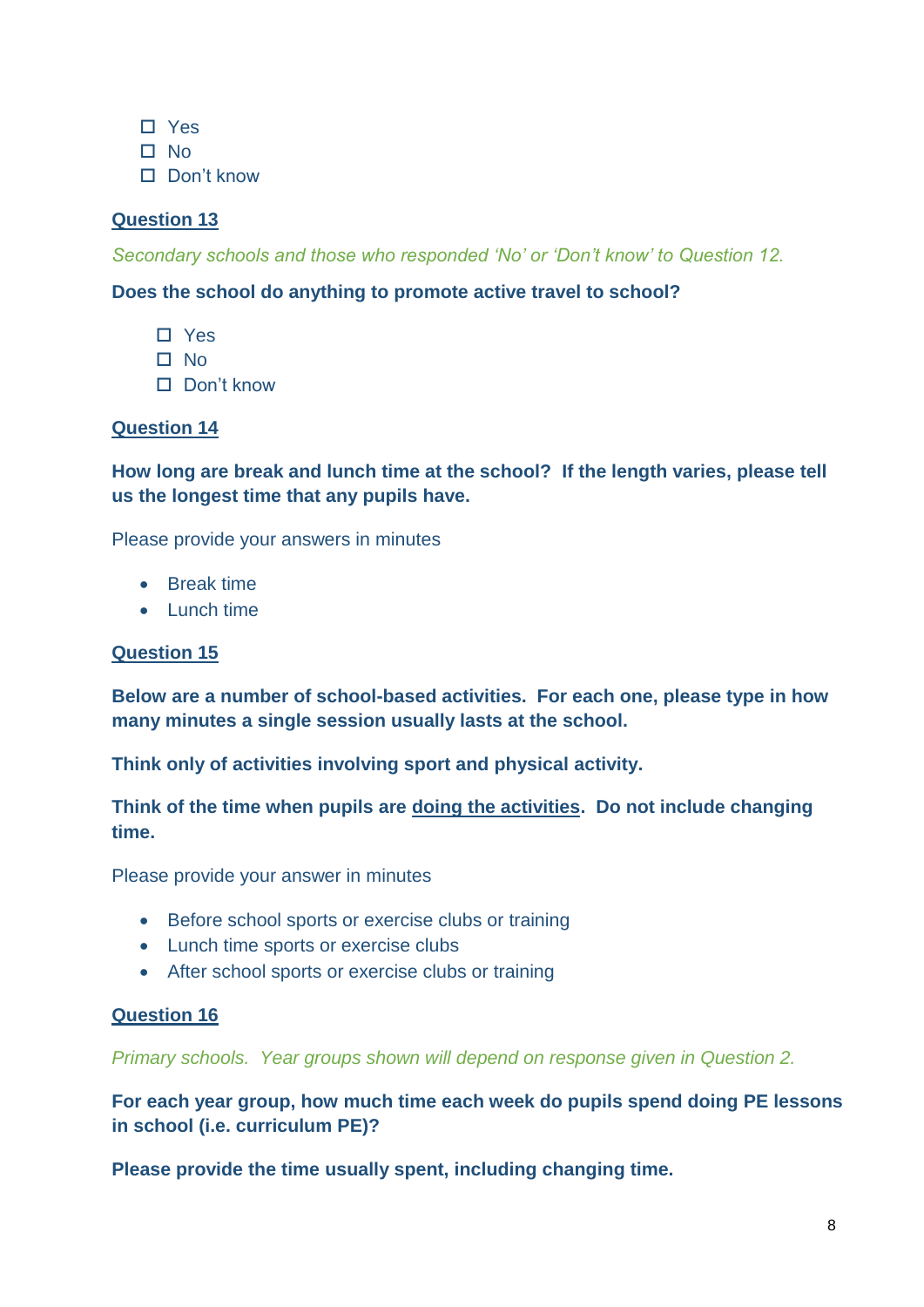- □ Yes
- $\Pi$  No
- Don't know

*Secondary schools and those who responded 'No' or 'Don't know' to Question 12.* 

# **Does the school do anything to promote active travel to school?**

- □ Yes
- $\square$  No
- Don't know

# **Question 14**

**How long are break and lunch time at the school? If the length varies, please tell us the longest time that any pupils have.** 

Please provide your answers in minutes

- Break time
- Lunch time

# **Question 15**

**Below are a number of school-based activities. For each one, please type in how many minutes a single session usually lasts at the school.**

**Think only of activities involving sport and physical activity.**

**Think of the time when pupils are doing the activities. Do not include changing time.**

Please provide your answer in minutes

- Before school sports or exercise clubs or training
- Lunch time sports or exercise clubs
- After school sports or exercise clubs or training

# **Question 16**

*Primary schools. Year groups shown will depend on response given in Question 2.*

**For each year group, how much time each week do pupils spend doing PE lessons in school (i.e. curriculum PE)?**

**Please provide the time usually spent, including changing time.**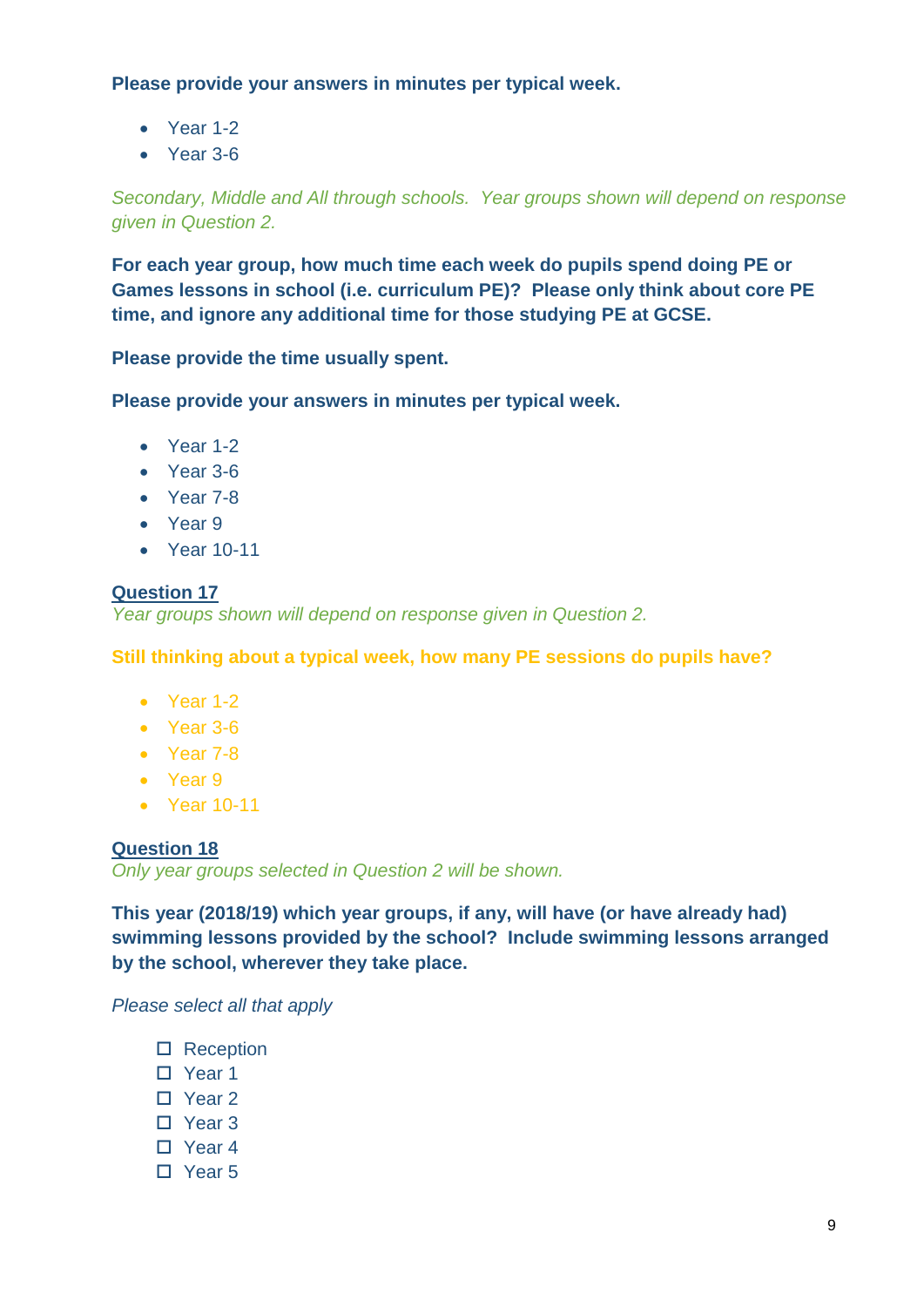**Please provide your answers in minutes per typical week.**

- Year 1-2
- Year 3-6

*Secondary, Middle and All through schools. Year groups shown will depend on response given in Question 2.*

**For each year group, how much time each week do pupils spend doing PE or Games lessons in school (i.e. curriculum PE)? Please only think about core PE time, and ignore any additional time for those studying PE at GCSE.**

**Please provide the time usually spent.**

**Please provide your answers in minutes per typical week.**

- Year 1-2
- Year 3-6
- Year 7-8
- Year 9
- Year 10-11

# **Question 17**

*Year groups shown will depend on response given in Question 2.*

**Still thinking about a typical week, how many PE sessions do pupils have?**

- Year 1-2
- Year 3-6
- Year 7-8
- Year 9
- Year 10-11

# **Question 18**

*Only year groups selected in Question 2 will be shown.*

**This year (2018/19) which year groups, if any, will have (or have already had) swimming lessons provided by the school? Include swimming lessons arranged by the school, wherever they take place.**

*Please select all that apply*

- □ Reception
- □ Year 1
- Year 2
- □ Year 3
- □ Year 4
- Year 5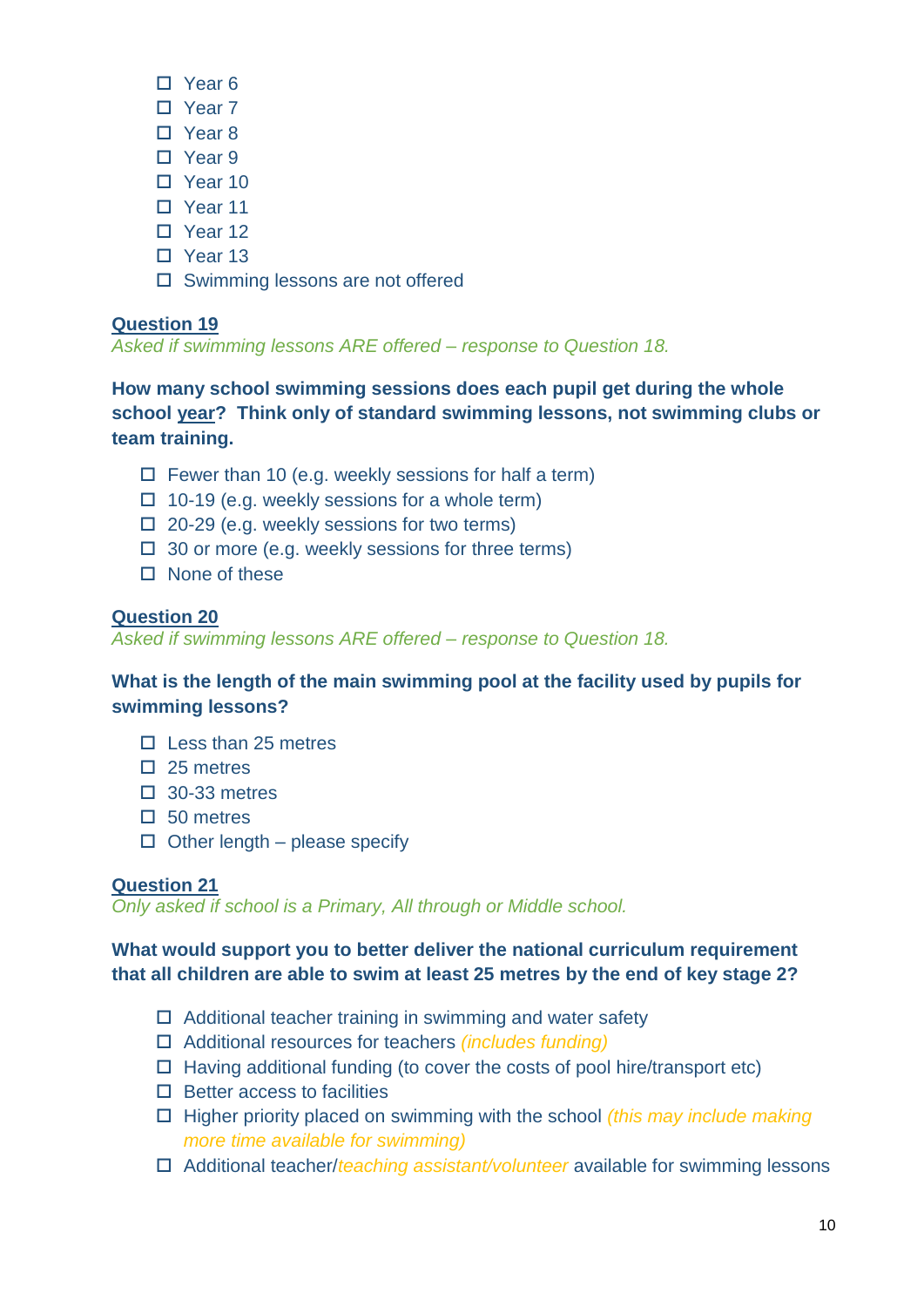- Year 6
- □ Year 7
- □ Year 8
- □ Year 9
- Year 10
- Year 11
- □ Year 12
- □ Year 13
- $\square$  Swimming lessons are not offered

*Asked if swimming lessons ARE offered – response to Question 18.*

**How many school swimming sessions does each pupil get during the whole school year? Think only of standard swimming lessons, not swimming clubs or team training.**

- $\Box$  Fewer than 10 (e.g. weekly sessions for half a term)
- $\Box$  10-19 (e.g. weekly sessions for a whole term)
- $\Box$  20-29 (e.g. weekly sessions for two terms)
- $\Box$  30 or more (e.g. weekly sessions for three terms)
- $\Box$  None of these

# **Question 20**

*Asked if swimming lessons ARE offered – response to Question 18.*

**What is the length of the main swimming pool at the facility used by pupils for swimming lessons?**

- $\Pi$  Less than 25 metres
- $\Box$  25 metres
- $\square$  30-33 metres
- $\Box$  50 metres
- $\Box$  Other length please specify

# **Question 21**

*Only asked if school is a Primary, All through or Middle school.* 

# **What would support you to better deliver the national curriculum requirement that all children are able to swim at least 25 metres by the end of key stage 2?**

- $\Box$  Additional teacher training in swimming and water safety
- Additional resources for teachers *(includes funding)*
- $\Box$  Having additional funding (to cover the costs of pool hire/transport etc)
- $\square$  Better access to facilities
- Higher priority placed on swimming with the school *(this may include making more time available for swimming)*
- Additional teacher/*teaching assistant/volunteer* available for swimming lessons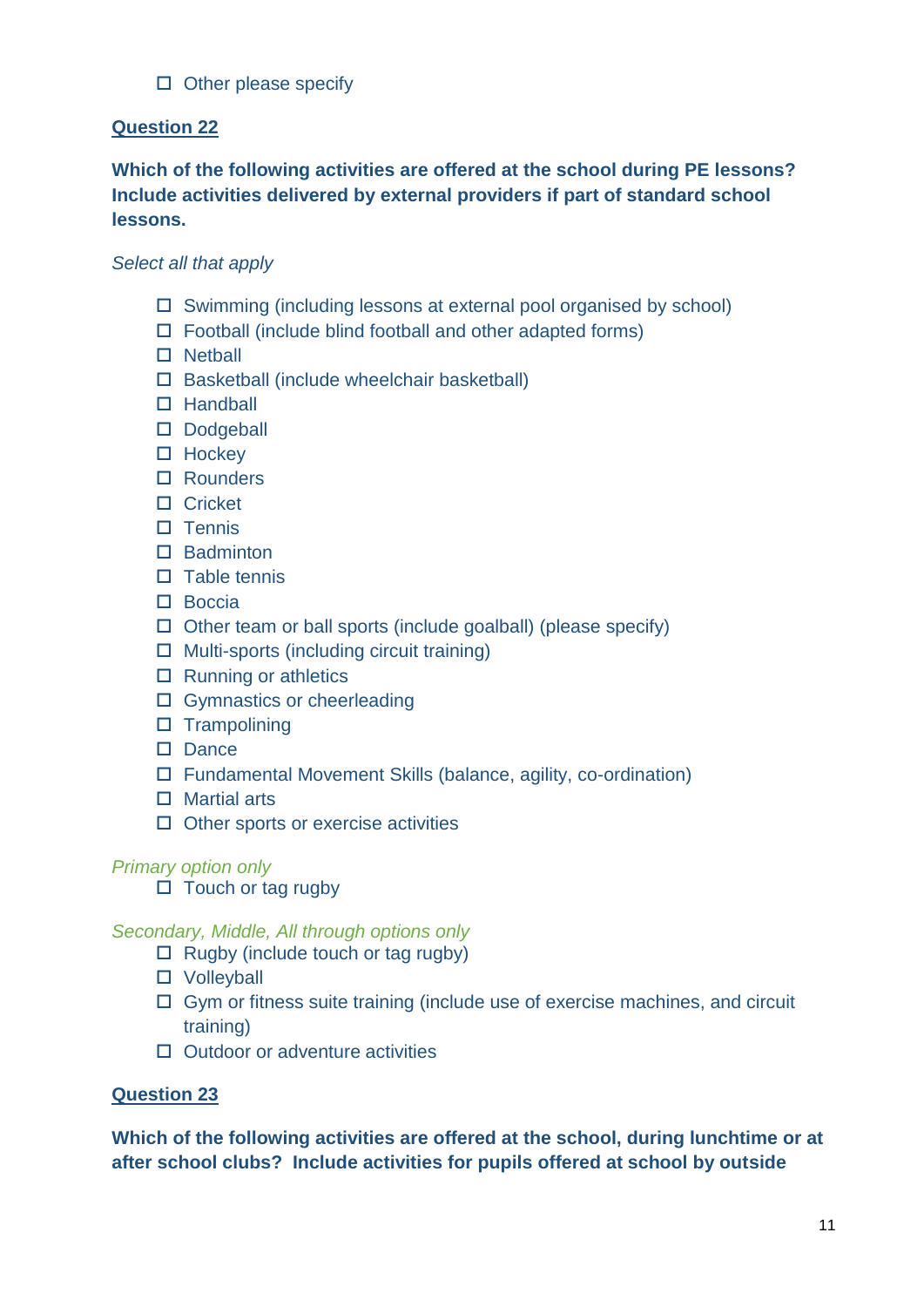# $\Box$  Other please specify

# **Question 22**

# **Which of the following activities are offered at the school during PE lessons? Include activities delivered by external providers if part of standard school lessons.**

# *Select all that apply*

- $\square$  Swimming (including lessons at external pool organised by school)
- $\Box$  Football (include blind football and other adapted forms)
- $\square$  Netball
- $\square$  Basketball (include wheelchair basketball)
- □ Handball
- Dodgeball
- $\Box$  Hockey
- □ Rounders
- □ Cricket
- $\Pi$  Tennis
- $\Box$  Badminton
- $\square$  Table tennis
- $\square$  Boccia
- $\Box$  Other team or ball sports (include goalball) (please specify)
- $\Box$  Multi-sports (including circuit training)
- $\Box$  Running or athletics
- □ Gymnastics or cheerleading
- $\square$  Trampolining
- $\square$  Dance
- Fundamental Movement Skills (balance, agility, co-ordination)
- Martial arts
- $\Box$  Other sports or exercise activities

# *Primary option only*

 $\Box$  Touch or tag rugby

# *Secondary, Middle, All through options only*

- $\Box$  Rugby (include touch or tag rugby)
- □ Volleyball
- $\Box$  Gym or fitness suite training (include use of exercise machines, and circuit training)
- $\Box$  Outdoor or adventure activities

# **Question 23**

**Which of the following activities are offered at the school, during lunchtime or at after school clubs? Include activities for pupils offered at school by outside**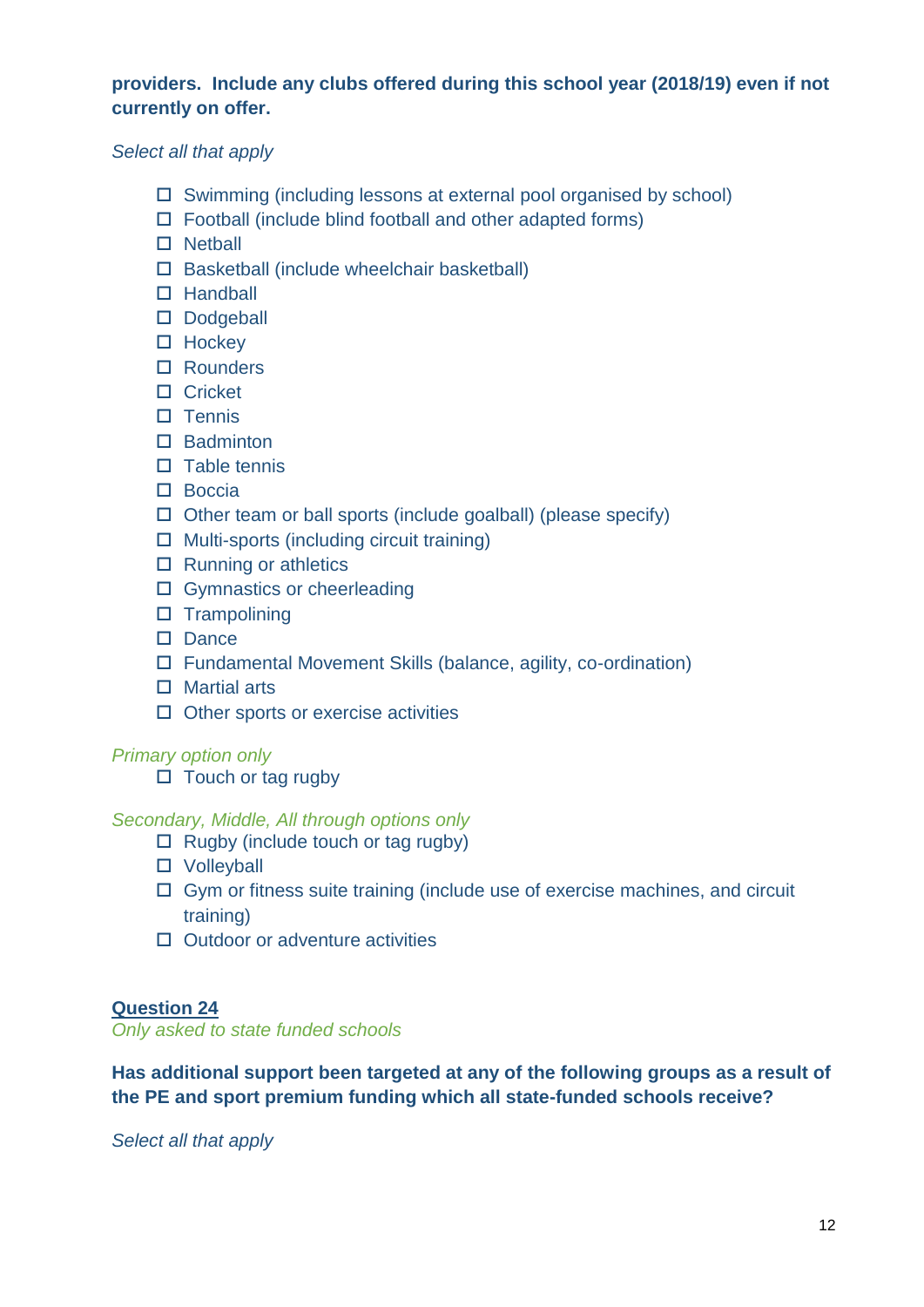# **providers. Include any clubs offered during this school year (2018/19) even if not currently on offer.**

# *Select all that apply*

- $\square$  Swimming (including lessons at external pool organised by school)
- $\Box$  Football (include blind football and other adapted forms)
- $\square$  Netball
- $\square$  Basketball (include wheelchair basketball)
- □ Handball
- Dodgeball
- $\Box$  Hockey
- □ Rounders
- □ Cricket
- $\square$  Tennis
- $\Pi$  Badminton
- $\Box$  Table tennis
- $\square$  Boccia
- $\Box$  Other team or ball sports (include goalball) (please specify)
- $\Box$  Multi-sports (including circuit training)
- $\Box$  Running or athletics
- □ Gymnastics or cheerleading
- $\Box$  Trampolining
- $\square$  Dance
- Fundamental Movement Skills (balance, agility, co-ordination)
- □ Martial arts
- $\Box$  Other sports or exercise activities

# *Primary option only*

 $\Box$  Touch or tag rugby

# *Secondary, Middle, All through options only*

- $\Box$  Rugby (include touch or tag rugby)
- □ Volleyball
- $\Box$  Gym or fitness suite training (include use of exercise machines, and circuit training)
- $\Box$  Outdoor or adventure activities

# **Question 24**

*Only asked to state funded schools* 

**Has additional support been targeted at any of the following groups as a result of the PE and sport premium funding which all state-funded schools receive?**

*Select all that apply*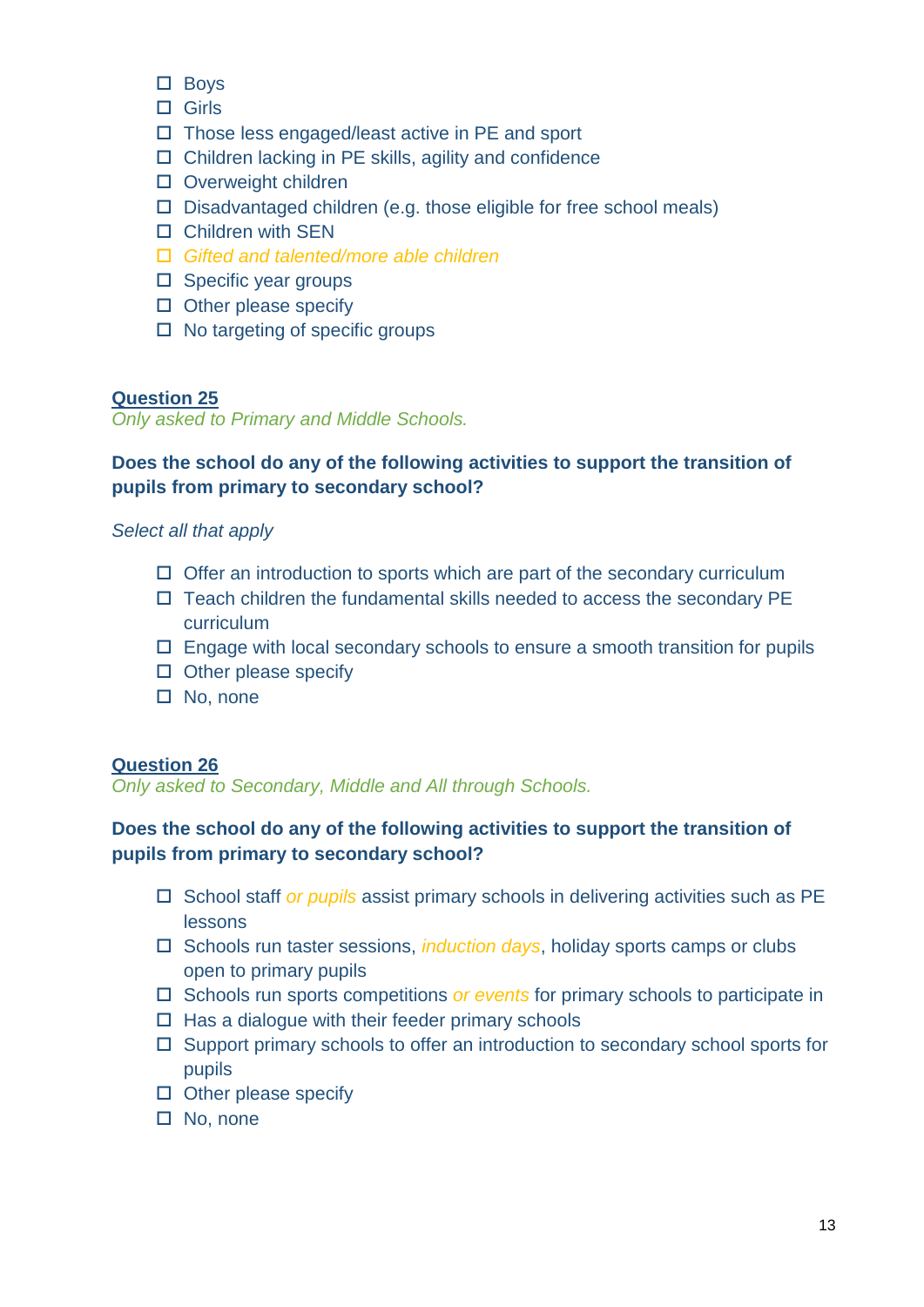- □ Boys
- $\Box$  Girls
- $\Box$  Those less engaged/least active in PE and sport
- $\Box$  Children lacking in PE skills, agility and confidence
- □ Overweight children
- $\square$  Disadvantaged children (e.g. those eligible for free school meals)
- Children with SEN
- *Gifted and talented/more able children*
- $\square$  Specific year groups
- $\square$  Other please specify
- $\Box$  No targeting of specific groups

*Only asked to Primary and Middle Schools.*

# **Does the school do any of the following activities to support the transition of pupils from primary to secondary school?**

#### *Select all that apply*

- $\Box$  Offer an introduction to sports which are part of the secondary curriculum
- $\Box$  Teach children the fundamental skills needed to access the secondary PE curriculum
- $\Box$  Engage with local secondary schools to ensure a smooth transition for pupils
- $\square$  Other please specify
- □ No, none

#### **Question 26**

*Only asked to Secondary, Middle and All through Schools.*

# **Does the school do any of the following activities to support the transition of pupils from primary to secondary school?**

- □ School staff *or pupils* assist primary schools in delivering activities such as PE lessons
- □ Schools run taster sessions, *induction days*, holiday sports camps or clubs open to primary pupils
- □ Schools run sports competitions *or events* for primary schools to participate in
- $\Box$  Has a dialogue with their feeder primary schools
- $\Box$  Support primary schools to offer an introduction to secondary school sports for pupils
- $\square$  Other please specify
- □ No, none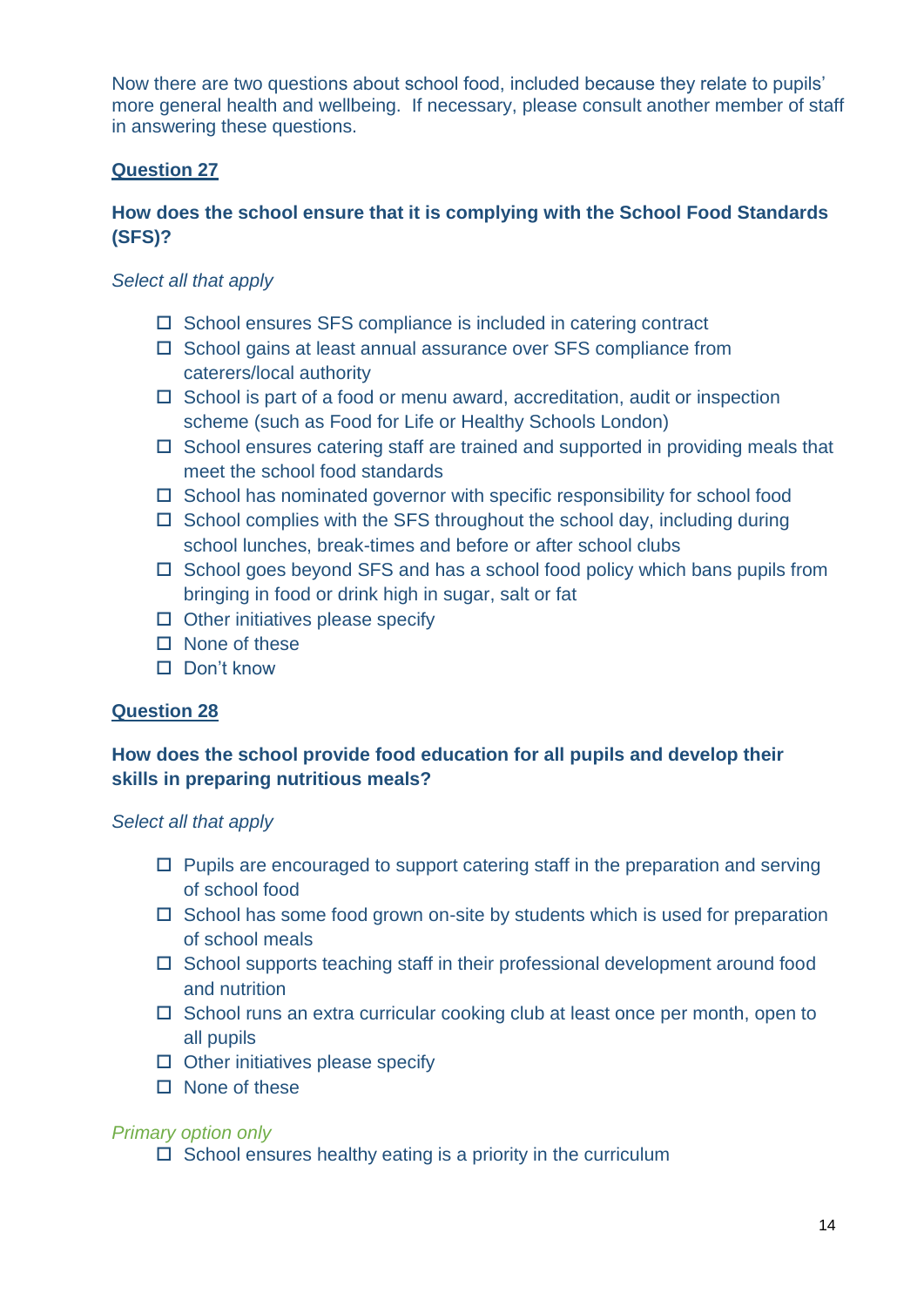Now there are two questions about school food, included because they relate to pupils' more general health and wellbeing. If necessary, please consult another member of staff in answering these questions.

# **Question 27**

# **How does the school ensure that it is complying with the School Food Standards (SFS)?**

# *Select all that apply*

- $\Box$  School ensures SFS compliance is included in catering contract
- $\square$  School gains at least annual assurance over SFS compliance from caterers/local authority
- $\Box$  School is part of a food or menu award, accreditation, audit or inspection scheme (such as Food for Life or Healthy Schools London)
- $\square$  School ensures catering staff are trained and supported in providing meals that meet the school food standards
- $\Box$  School has nominated governor with specific responsibility for school food
- $\Box$  School complies with the SFS throughout the school day, including during school lunches, break-times and before or after school clubs
- $\Box$  School goes beyond SFS and has a school food policy which bans pupils from bringing in food or drink high in sugar, salt or fat
- $\Box$  Other initiatives please specify
- $\Box$  None of these
- $\Pi$  Don't know

# **Question 28**

# **How does the school provide food education for all pupils and develop their skills in preparing nutritious meals?**

# *Select all that apply*

- $\Box$  Pupils are encouraged to support catering staff in the preparation and serving of school food
- $\Box$  School has some food grown on-site by students which is used for preparation of school meals
- $\Box$  School supports teaching staff in their professional development around food and nutrition
- $\Box$  School runs an extra curricular cooking club at least once per month, open to all pupils
- $\Box$  Other initiatives please specify
- $\square$  None of these

# *Primary option only*

 $\square$  School ensures healthy eating is a priority in the curriculum